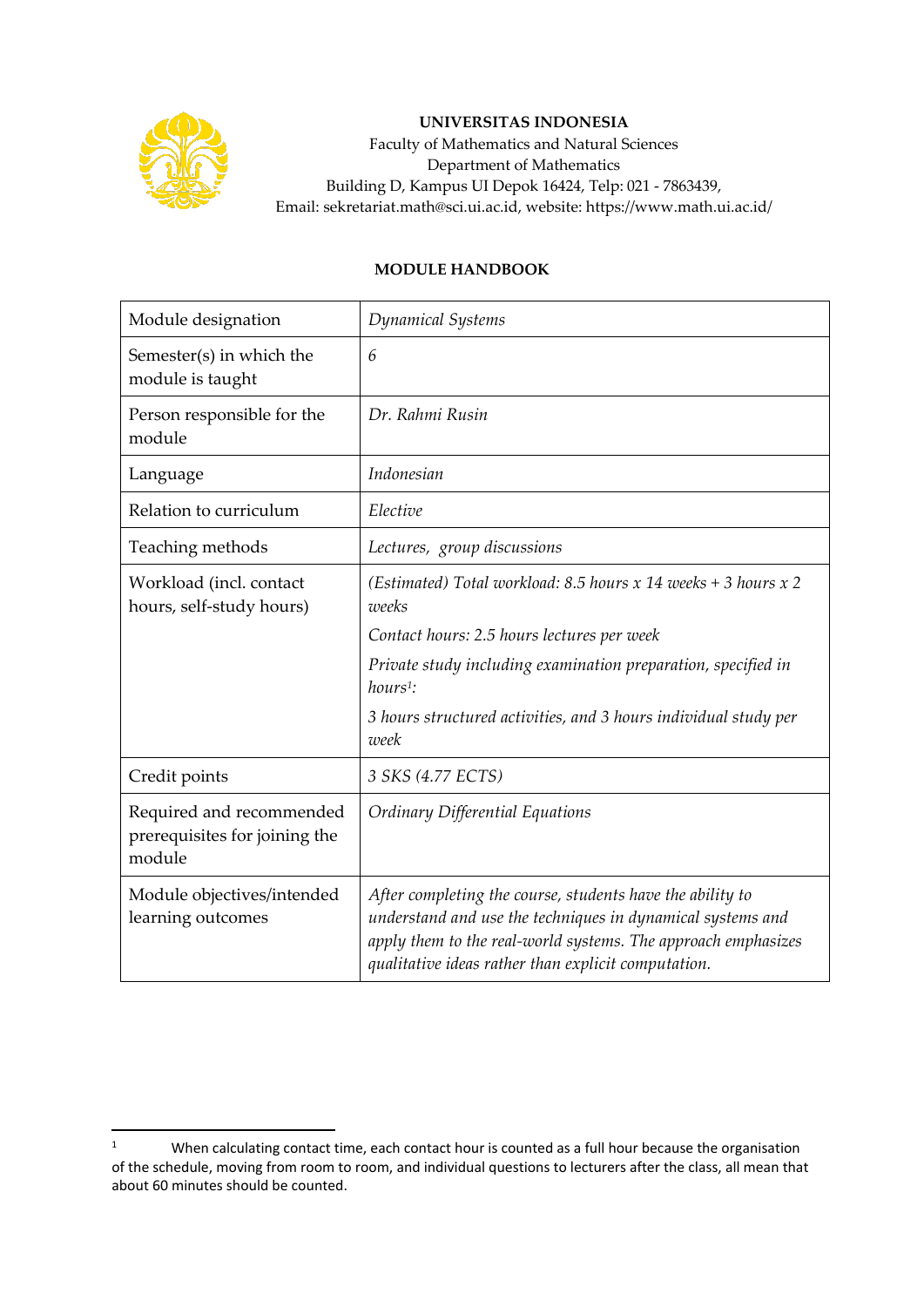

## **UNIVERSITAS INDONESIA**

Faculty of Mathematics and Natural Sciences Department of Mathematics Building D, Kampus UI Depok 16424, Telp: 021 - 7863439, Email: sekretariat.math@sci.ui.ac.id, website: https://www.math.ui.ac.id/

## **MODULE HANDBOOK**

| Module designation                                                  | Dynamical Systems                                                                                                                                                                                                                               |
|---------------------------------------------------------------------|-------------------------------------------------------------------------------------------------------------------------------------------------------------------------------------------------------------------------------------------------|
| Semester(s) in which the<br>module is taught                        | 6                                                                                                                                                                                                                                               |
| Person responsible for the<br>module                                | Dr. Rahmi Rusin                                                                                                                                                                                                                                 |
| Language                                                            | Indonesian                                                                                                                                                                                                                                      |
| Relation to curriculum                                              | Elective                                                                                                                                                                                                                                        |
| Teaching methods                                                    | Lectures, group discussions                                                                                                                                                                                                                     |
| Workload (incl. contact<br>hours, self-study hours)                 | (Estimated) Total workload: 8.5 hours x 14 weeks + 3 hours x 2<br>weeks                                                                                                                                                                         |
|                                                                     | Contact hours: 2.5 hours lectures per week                                                                                                                                                                                                      |
|                                                                     | Private study including examination preparation, specified in<br>$hours1$ :                                                                                                                                                                     |
|                                                                     | 3 hours structured activities, and 3 hours individual study per<br>week                                                                                                                                                                         |
| Credit points                                                       | 3 SKS (4.77 ECTS)                                                                                                                                                                                                                               |
| Required and recommended<br>prerequisites for joining the<br>module | Ordinary Differential Equations                                                                                                                                                                                                                 |
| Module objectives/intended<br>learning outcomes                     | After completing the course, students have the ability to<br>understand and use the techniques in dynamical systems and<br>apply them to the real-world systems. The approach emphasizes<br>qualitative ideas rather than explicit computation. |

<sup>&</sup>lt;sup>1</sup> When calculating contact time, each contact hour is counted as a full hour because the organisation of the schedule, moving from room to room, and individual questions to lecturers after the class, all mean that about 60 minutes should be counted.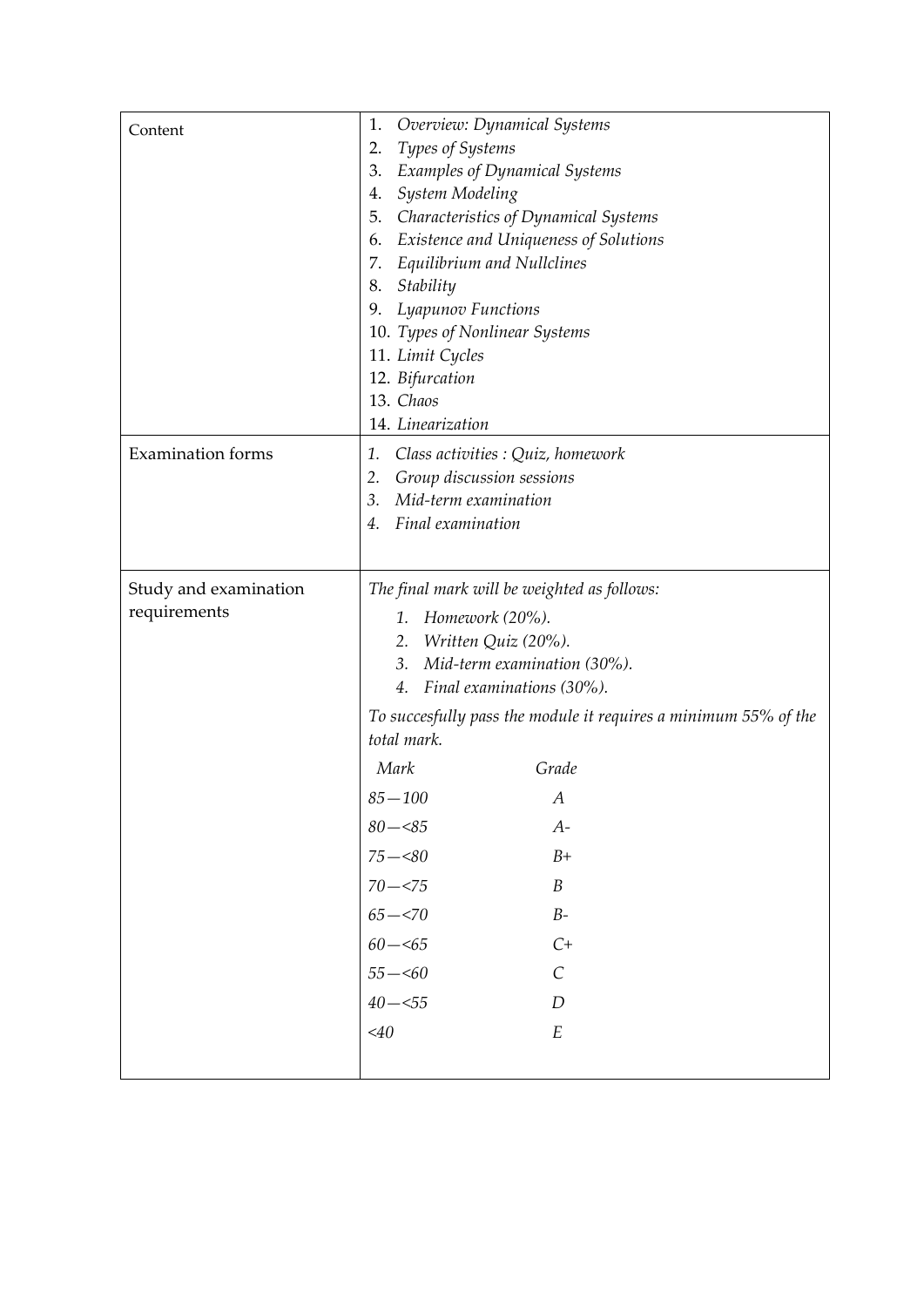| Content                               | Overview: Dynamical Systems<br>1.<br>Types of Systems<br>2.<br><b>Examples of Dynamical Systems</b><br>3.<br>System Modeling<br>4.<br>Characteristics of Dynamical Systems<br>5.<br>Existence and Uniqueness of Solutions<br>6.<br>7. Equilibrium and Nullclines<br>Stability<br>8.<br>Lyapunov Functions<br>9.<br>10. Types of Nonlinear Systems<br>11. Limit Cycles<br>12. Bifurcation                                                                                                    |
|---------------------------------------|---------------------------------------------------------------------------------------------------------------------------------------------------------------------------------------------------------------------------------------------------------------------------------------------------------------------------------------------------------------------------------------------------------------------------------------------------------------------------------------------|
|                                       | 13. Chaos<br>14. Linearization                                                                                                                                                                                                                                                                                                                                                                                                                                                              |
| <b>Examination</b> forms              | Class activities : Quiz, homework<br>1.<br>Group discussion sessions<br>2.<br>Mid-term examination<br>3.<br>Final examination<br>4.                                                                                                                                                                                                                                                                                                                                                         |
| Study and examination<br>requirements | The final mark will be weighted as follows:<br>1. Homework (20%).<br>2. Written Quiz (20%).<br>Mid-term examination (30%).<br>3.<br>4. Final examinations (30%).<br>To succesfully pass the module it requires a minimum 55% of the<br>total mark.<br>Mark<br>Grade<br>$85 - 100$<br>А<br>$80 - 85$<br>$A-$<br>$75 - 80$<br>$B+$<br>$70 - 575$<br>$\boldsymbol{B}$<br>$65 - 570$<br>$B-$<br>$60 - 5$<br>$C+$<br>$55 - 60$<br>$\mathcal{C}_{0}^{0}$<br>$40 - 55$<br>D<br>$<$ 40<br>$E_{\rm}$ |